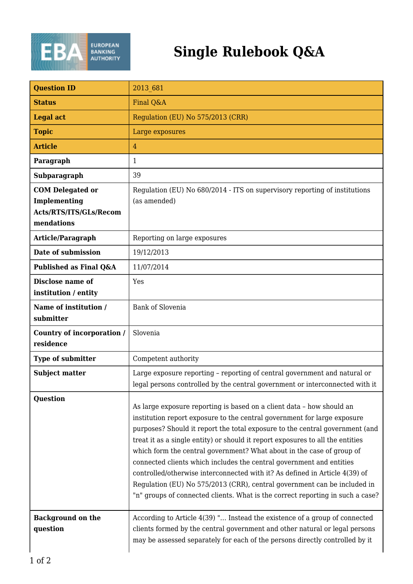

## **Single Rulebook Q&A**

| <b>Question ID</b>                                                              | 2013 681                                                                                                                                                                                                                                                                                                                                                                                                                                                                                                                                                                                                                                                                                                          |
|---------------------------------------------------------------------------------|-------------------------------------------------------------------------------------------------------------------------------------------------------------------------------------------------------------------------------------------------------------------------------------------------------------------------------------------------------------------------------------------------------------------------------------------------------------------------------------------------------------------------------------------------------------------------------------------------------------------------------------------------------------------------------------------------------------------|
| <b>Status</b>                                                                   | Final Q&A                                                                                                                                                                                                                                                                                                                                                                                                                                                                                                                                                                                                                                                                                                         |
| <b>Legal act</b>                                                                | Regulation (EU) No 575/2013 (CRR)                                                                                                                                                                                                                                                                                                                                                                                                                                                                                                                                                                                                                                                                                 |
| <b>Topic</b>                                                                    | Large exposures                                                                                                                                                                                                                                                                                                                                                                                                                                                                                                                                                                                                                                                                                                   |
| <b>Article</b>                                                                  | $\overline{4}$                                                                                                                                                                                                                                                                                                                                                                                                                                                                                                                                                                                                                                                                                                    |
| Paragraph                                                                       | 1                                                                                                                                                                                                                                                                                                                                                                                                                                                                                                                                                                                                                                                                                                                 |
| Subparagraph                                                                    | 39                                                                                                                                                                                                                                                                                                                                                                                                                                                                                                                                                                                                                                                                                                                |
| <b>COM Delegated or</b><br>Implementing<br>Acts/RTS/ITS/GLs/Recom<br>mendations | Regulation (EU) No 680/2014 - ITS on supervisory reporting of institutions<br>(as amended)                                                                                                                                                                                                                                                                                                                                                                                                                                                                                                                                                                                                                        |
| Article/Paragraph                                                               | Reporting on large exposures                                                                                                                                                                                                                                                                                                                                                                                                                                                                                                                                                                                                                                                                                      |
| Date of submission                                                              | 19/12/2013                                                                                                                                                                                                                                                                                                                                                                                                                                                                                                                                                                                                                                                                                                        |
| Published as Final Q&A                                                          | 11/07/2014                                                                                                                                                                                                                                                                                                                                                                                                                                                                                                                                                                                                                                                                                                        |
| Disclose name of<br>institution / entity                                        | Yes                                                                                                                                                                                                                                                                                                                                                                                                                                                                                                                                                                                                                                                                                                               |
| Name of institution /<br>submitter                                              | <b>Bank of Slovenia</b>                                                                                                                                                                                                                                                                                                                                                                                                                                                                                                                                                                                                                                                                                           |
| Country of incorporation /<br>residence                                         | Slovenia                                                                                                                                                                                                                                                                                                                                                                                                                                                                                                                                                                                                                                                                                                          |
| Type of submitter                                                               | Competent authority                                                                                                                                                                                                                                                                                                                                                                                                                                                                                                                                                                                                                                                                                               |
| <b>Subject matter</b>                                                           | Large exposure reporting - reporting of central government and natural or<br>legal persons controlled by the central government or interconnected with it                                                                                                                                                                                                                                                                                                                                                                                                                                                                                                                                                         |
| <b>Question</b>                                                                 | As large exposure reporting is based on a client data - how should an<br>institution report exposure to the central government for large exposure<br>purposes? Should it report the total exposure to the central government (and<br>treat it as a single entity) or should it report exposures to all the entities<br>which form the central government? What about in the case of group of<br>connected clients which includes the central government and entities<br>controlled/otherwise interconnected with it? As defined in Article 4(39) of<br>Regulation (EU) No 575/2013 (CRR), central government can be included in<br>"n" groups of connected clients. What is the correct reporting in such a case? |
| <b>Background on the</b><br>question                                            | According to Article 4(39) " Instead the existence of a group of connected<br>clients formed by the central government and other natural or legal persons<br>may be assessed separately for each of the persons directly controlled by it                                                                                                                                                                                                                                                                                                                                                                                                                                                                         |